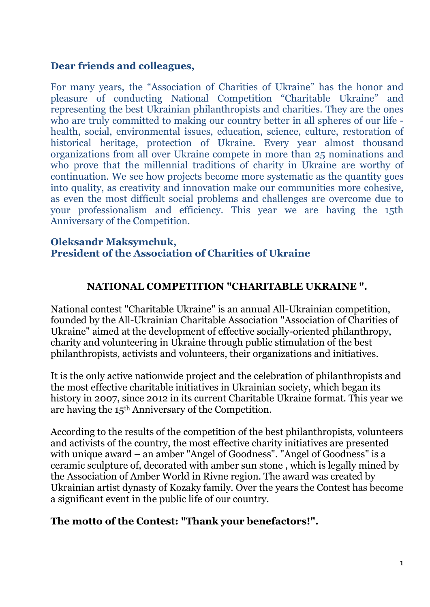#### Dear friends and colleagues,

For many years, the "Association of Charities of Ukraine" has the honor and pleasure of conducting National Competition "Charitable Ukraine" and representing the best Ukrainian philanthropists and charities. They are the ones who are truly committed to making our country better in all spheres of our life health, social, environmental issues, education, science, culture, restoration of historical heritage, protection of Ukraine. Every year almost thousand organizations from all over Ukraine compete in more than 25 nominations and who prove that the millennial traditions of charity in Ukraine are worthy of continuation. We see how projects become more systematic as the quantity goes into quality, as creativity and innovation make our communities more cohesive, as even the most difficult social problems and challenges are overcome due to your professionalism and efficiency. This year we are having the 15th Anniversary of the Competition.

#### Oleksandr Maksymchuk, President of the Association of Charities of Ukraine

#### NATIONAL COMPETITION "CHARITABLE UKRAINE ".

National contest "Charitable Ukraine" is an annual All-Ukrainian competition, founded by the All-Ukrainian Charitable Association "Association of Charities of Ukraine" aimed at the development of effective socially-oriented philanthropy, charity and volunteering in Ukraine through public stimulation of the best philanthropists, activists and volunteers, their organizations and initiatives.

It is the only active nationwide project and the celebration of philanthropists and the most effective charitable initiatives in Ukrainian society, which began its history in 2007, since 2012 in its current Charitable Ukraine format. This year we are having the 15th Anniversary of the Competition.

According to the results of the competition of the best philanthropists, volunteers and activists of the country, the most effective charity initiatives are presented with unique award – an amber "Angel of Goodness". "Angel of Goodness" is a ceramic sculpture of, decorated with amber sun stone , which is legally mined by the Association of Amber World in Rivne region. The award was created by Ukrainian artist dynasty of Kozaky family. Over the years the Contest has become a significant event in the public life of our country.

#### The motto of the Contest: "Thank your benefactors!".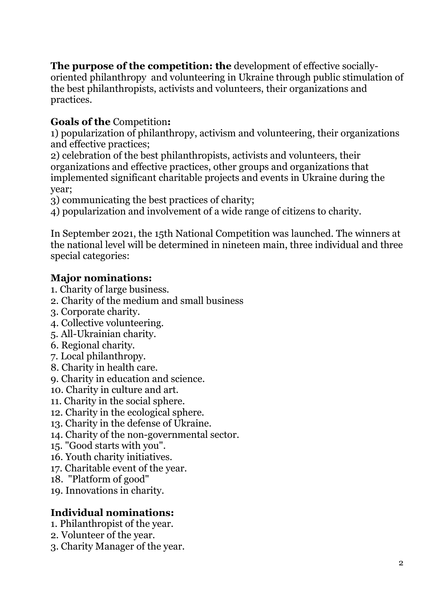The purpose of the competition: the development of effective sociallyoriented philanthropy and volunteering in Ukraine through public stimulation of the best philanthropists, activists and volunteers, their organizations and practices.

## Goals of the Competition:

1) popularization of philanthropy, activism and volunteering, their organizations and effective practices;

2) celebration of the best philanthropists, activists and volunteers, their organizations and effective practices, other groups and organizations that implemented significant charitable projects and events in Ukraine during the year;

3) communicating the best practices of charity;

4) popularization and involvement of a wide range of citizens to charity.

In September 2021, the 15th National Competition was launched. The winners at the national level will be determined in nineteen main, three individual and three special categories:

#### Major nominations:

- 1. Charity of large business.
- 2. Charity of the medium and small business
- 3. Corporate charity.
- 4. Collective volunteering.
- 5. All-Ukrainian charity.
- 6. Regional charity.
- 7. Local philanthropy.
- 8. Charity in health care.
- 9. Charity in education and science.
- 10. Charity in culture and art.
- 11. Charity in the social sphere.
- 12. Charity in the ecological sphere.
- 13. Charity in the defense of Ukraine.
- 14. Charity of the non-governmental sector.
- 15. "Good starts with you".
- 16. Youth charity initiatives.
- 17. Charitable event of the year.
- 18. "Platform of good"
- 19. Innovations in charity.

#### Individual nominations:

- 1. Philanthropist of the year.
- 2. Volunteer of the year.
- 3. Charity Manager of the year.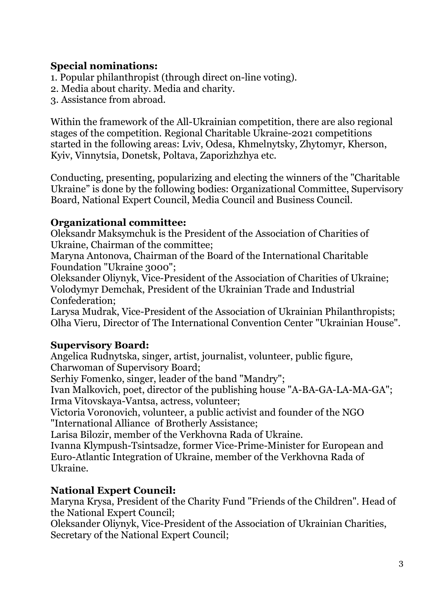## Special nominations:

1. Popular philanthropist (through direct on-line voting).

2. Media about charity. Media and charity.

3. Assistance from abroad.

Within the framework of the All-Ukrainian competition, there are also regional stages of the competition. Regional Charitable Ukraine-2021 competitions started in the following areas: Lviv, Odesa, Khmelnytsky, Zhytomyr, Kherson, Kyiv, Vinnytsia, Donetsk, Poltava, Zaporizhzhya etc.

Conducting, presenting, popularizing and electing the winners of the "Charitable Ukraine" is done by the following bodies: Organizational Committee, Supervisory Board, National Expert Council, Media Council and Business Council.

## Organizational committee:

Oleksandr Maksymchuk is the President of the Association of Charities of Ukraine, Chairman of the committee;

Maryna Antonova, Chairman of the Board of the International Charitable Foundation "Ukraine 3000";

Oleksander Oliynyk, Vice-President of the Association of Charities of Ukraine; Volodymyr Demchak, President of the Ukrainian Trade and Industrial Confederation;

Larysa Mudrak, Vice-President of the Association of Ukrainian Philanthropists; Olha Vieru, Director of The International Convention Center "Ukrainian House".

## Supervisory Board:

Angelica Rudnytska, singer, artist, journalist, volunteer, public figure, Charwoman of Supervisory Board;

Serhiy Fomenko, singer, leader of the band "Mandry";

Ivan Malkovich, poet, director of the publishing house "A-BA-GA-LA-MA-GA"; Irma Vitovskaya-Vantsa, actress, volunteer;

Victoria Voronovich, volunteer, a public activist and founder of the NGO "International Alliance of Brotherly Assistance;

Larisa Bilozir, member of the Verkhovna Rada of Ukraine.

Ivanna Klympush-Tsintsadze, former Vice-Prime-Minister for European and Euro-Atlantic Integration of Ukraine, member of the Verkhovna Rada of Ukraine.

# National Expert Council:

Maryna Krysa, President of the Charity Fund "Friends of the Children". Head of the National Expert Council;

Oleksander Oliynyk, Vice-President of the Association of Ukrainian Charities, Secretary of the National Expert Council;